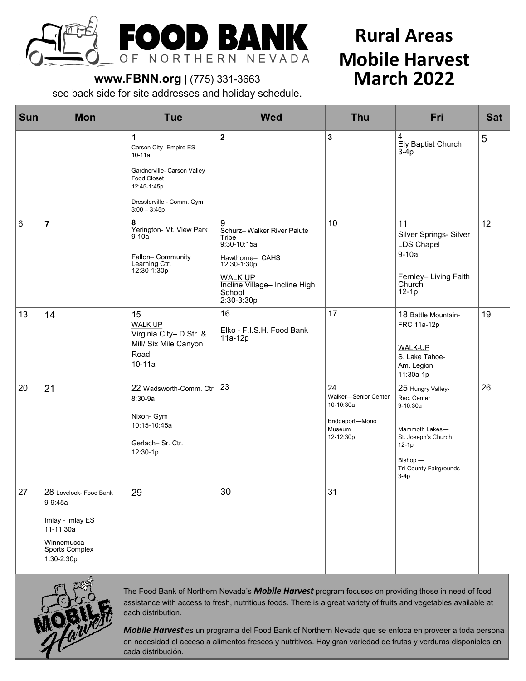

# **Rural Areas Mobile Harvest March 2022**

## **www.FBNN.org** | (775) 331-3663

see back side for site addresses and holiday schedule.

| <b>Sun</b> | <b>Mon</b>                                                                                                        | <b>Tue</b>                                                                                                                                            | <b>Wed</b>                                                                                                                                                            | <b>Thu</b>                                                                        | Fri                                                                                                                                                     | <b>Sat</b> |
|------------|-------------------------------------------------------------------------------------------------------------------|-------------------------------------------------------------------------------------------------------------------------------------------------------|-----------------------------------------------------------------------------------------------------------------------------------------------------------------------|-----------------------------------------------------------------------------------|---------------------------------------------------------------------------------------------------------------------------------------------------------|------------|
|            |                                                                                                                   | 1<br>Carson City- Empire ES<br>$10 - 11a$<br>Gardnerville- Carson Valley<br>Food Closet<br>12:45-1:45p<br>Dresslerville - Comm. Gym<br>$3:00 - 3:45p$ | $\mathbf{2}$                                                                                                                                                          | 3                                                                                 | 4<br>Ely Baptist Church<br>$3-4p$                                                                                                                       | 5          |
| 6          | $\overline{\mathbf{r}}$                                                                                           | 8<br>Yerington- Mt. View Park<br>$9-10a$<br>Fallon-Community<br>Learning Ctr.<br>12:30-1:30p                                                          | 9<br>Schurz- Walker River Paiute<br>Tribe<br>9:30-10:15a<br>Hawthorne- CAHS<br>12:30-1:30p<br><b>WALK UP</b><br>Incline Village- Incline High<br>School<br>2:30-3:30p | 10                                                                                | 11<br>Silver Springs- Silver<br>LDS Chapel<br>$9-10a$<br>Fernley- Living Faith<br>Church<br>$12-1p$                                                     | 12         |
| 13         | 14                                                                                                                | 15<br><b>WALK UP</b><br>Virginia City- D Str. &<br>Mill/ Six Mile Canyon<br>Road<br>$10 - 11a$                                                        | 16<br>Elko - F.I.S.H. Food Bank<br>11a-12p                                                                                                                            | 17                                                                                | 18 Battle Mountain-<br>FRC 11a-12p<br><b>WALK-UP</b><br>S. Lake Tahoe-<br>Am. Legion<br>11:30a-1p                                                       | 19         |
| 20         | 21                                                                                                                | 22 Wadsworth-Comm. Ctr<br>8:30-9a<br>Nixon- Gym<br>10:15-10:45a<br>Gerlach- Sr. Ctr.<br>12:30-1p                                                      | 23                                                                                                                                                                    | 24<br>Walker-Senior Center<br>10-10:30a<br>Bridgeport-Mono<br>Museum<br>12-12:30p | 25 Hungry Valley-<br>Rec. Center<br>9-10:30a<br>Mammoth Lakes-<br>St. Joseph's Church<br>$12-1p$<br>Bishop -<br><b>Tri-County Fairgrounds</b><br>$3-4p$ | 26         |
| 27         | 28 Lovelock- Food Bank<br>9-9:45a<br>Imlay - Imlay ES<br>11-11:30a<br>Winnemucca-<br>Sports Complex<br>1:30-2:30p | 29                                                                                                                                                    | 30                                                                                                                                                                    | 31                                                                                |                                                                                                                                                         |            |



The Food Bank of Northern Nevada's *Mobile Harvest* program focuses on providing those in need of food assistance with access to fresh, nutritious foods. There is a great variety of fruits and vegetables available at each distribution.

*Mobile Harvest* es un programa del Food Bank of Northern Nevada que se enfoca en proveer a toda persona en necesidad el acceso a alimentos frescos y nutritivos. Hay gran variedad de frutas y verduras disponibles en cada distribución.